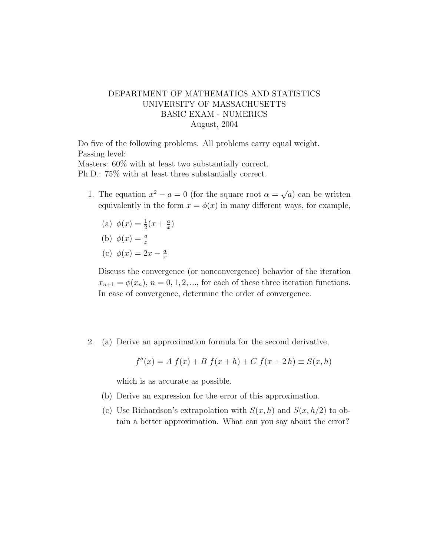## DEPARTMENT OF MATHEMATICS AND STATISTICS UNIVERSITY OF MASSACHUSETTS BASIC EXAM - NUMERICS August, 2004

Do five of the following problems. All problems carry equal weight. Passing level: Masters: 60% with at least two substantially correct.

Ph.D.: 75% with at least three substantially correct.

- 1. The equation  $x^2 a = 0$  (for the square root  $\alpha = \sqrt{ }$  $\overline{a}$ ) can be written equivalently in the form  $x = \phi(x)$  in many different ways, for example,
	- (a)  $\phi(x) = \frac{1}{2}(x + \frac{a}{x})$  $\frac{a}{x}$
	- (b)  $\phi(x) = \frac{a}{x}$
	- (c)  $\phi(x) = 2x \frac{a}{x}$ x

Discuss the convergence (or nonconvergence) behavior of the iteration  $x_{n+1} = \phi(x_n)$ ,  $n = 0, 1, 2, \dots$ , for each of these three iteration functions. In case of convergence, determine the order of convergence.

2. (a) Derive an approximation formula for the second derivative,

$$
f''(x) = A f(x) + B f(x+h) + C f(x+2h) \equiv S(x,h)
$$

which is as accurate as possible.

- (b) Derive an expression for the error of this approximation.
- (c) Use Richardson's extrapolation with  $S(x, h)$  and  $S(x, h/2)$  to obtain a better approximation. What can you say about the error?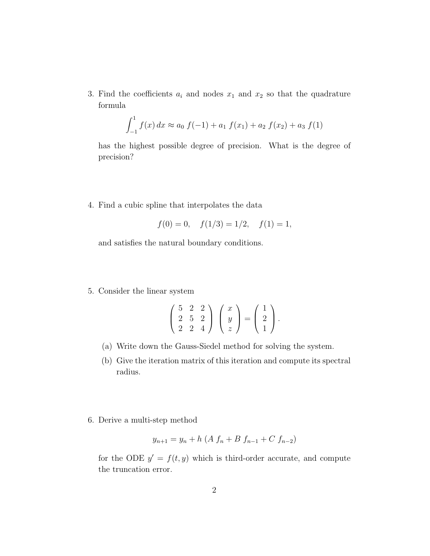3. Find the coefficients  $a_i$  and nodes  $x_1$  and  $x_2$  so that the quadrature formula

$$
\int_{-1}^{1} f(x) dx \approx a_0 f(-1) + a_1 f(x_1) + a_2 f(x_2) + a_3 f(1)
$$

has the highest possible degree of precision. What is the degree of precision?

4. Find a cubic spline that interpolates the data

$$
f(0) = 0
$$
,  $f(1/3) = 1/2$ ,  $f(1) = 1$ ,

and satisfies the natural boundary conditions.

5. Consider the linear system

$$
\left(\begin{array}{ccc} 5 & 2 & 2 \\ 2 & 5 & 2 \\ 2 & 2 & 4 \end{array}\right) \left(\begin{array}{c} x \\ y \\ z \end{array}\right) = \left(\begin{array}{c} 1 \\ 2 \\ 1 \end{array}\right).
$$

- (a) Write down the Gauss-Siedel method for solving the system.
- (b) Give the iteration matrix of this iteration and compute its spectral radius.
- 6. Derive a multi-step method

$$
y_{n+1} = y_n + h \left( A f_n + B f_{n-1} + C f_{n-2} \right)
$$

for the ODE  $y' = f(t, y)$  which is third-order accurate, and compute the truncation error.